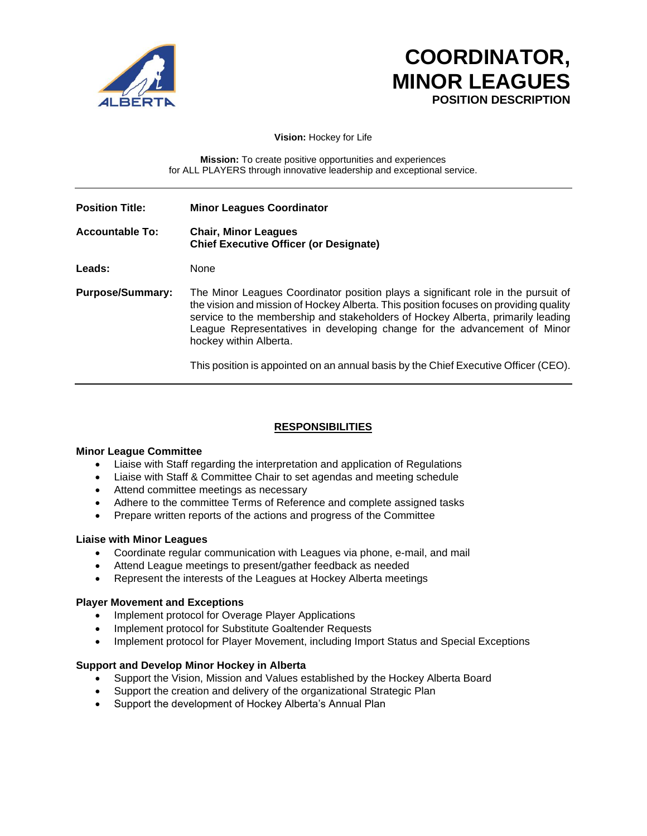

# **COORDINATOR, MINOR LEAGUES POSITION DESCRIPTION**

**Vision:** Hockey for Life

**Mission:** To create positive opportunities and experiences for ALL PLAYERS through innovative leadership and exceptional service.

| <b>Position Title:</b>  | <b>Minor Leagues Coordinator</b>                                                                                                                                                                                                                                                                                                                                   |
|-------------------------|--------------------------------------------------------------------------------------------------------------------------------------------------------------------------------------------------------------------------------------------------------------------------------------------------------------------------------------------------------------------|
| <b>Accountable To:</b>  | <b>Chair, Minor Leagues</b><br><b>Chief Executive Officer (or Designate)</b>                                                                                                                                                                                                                                                                                       |
| Leads:                  | None                                                                                                                                                                                                                                                                                                                                                               |
| <b>Purpose/Summary:</b> | The Minor Leagues Coordinator position plays a significant role in the pursuit of<br>the vision and mission of Hockey Alberta. This position focuses on providing quality<br>service to the membership and stakeholders of Hockey Alberta, primarily leading<br>League Representatives in developing change for the advancement of Minor<br>hockey within Alberta. |
|                         | This position is appointed on an annual basis by the Chief Executive Officer (CEO).                                                                                                                                                                                                                                                                                |

## **RESPONSIBILITIES**

#### **Minor League Committee**

- Liaise with Staff regarding the interpretation and application of Regulations
- Liaise with Staff & Committee Chair to set agendas and meeting schedule
- Attend committee meetings as necessary
- Adhere to the committee Terms of Reference and complete assigned tasks
- Prepare written reports of the actions and progress of the Committee

#### **Liaise with Minor Leagues**

- Coordinate regular communication with Leagues via phone, e-mail, and mail
- Attend League meetings to present/gather feedback as needed
- Represent the interests of the Leagues at Hockey Alberta meetings

#### **Player Movement and Exceptions**

- Implement protocol for Overage Player Applications
- Implement protocol for Substitute Goaltender Requests
- Implement protocol for Player Movement, including Import Status and Special Exceptions

#### **Support and Develop Minor Hockey in Alberta**

- Support the Vision, Mission and Values established by the Hockey Alberta Board
- Support the creation and delivery of the organizational Strategic Plan
- Support the development of Hockey Alberta's Annual Plan